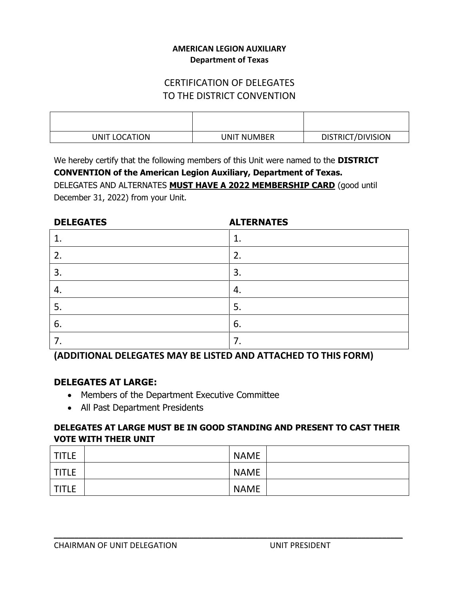### **AMERICAN LEGION AUXILIARY Department of Texas**

# CERTIFICATION OF DELEGATES TO THE DISTRICT CONVENTION

| UNIT LOCATION | <b>UNIT NUMBER</b> | DISTRICT/DIVISION |
|---------------|--------------------|-------------------|

We hereby certify that the following members of this Unit were named to the **DISTRICT**

**CONVENTION of the American Legion Auxiliary, Department of Texas.** DELEGATES AND ALTERNATES **MUST HAVE A 2022 MEMBERSHIP CARD** (good until December 31, 2022) from your Unit.

| <b>DELEGATES</b> | <b>ALTERNATES</b> |
|------------------|-------------------|
| 1                | ı.                |
| 2.               | 2.                |
| 3.               | 3.                |
| $\mathbf{4}$     | 4.                |
| 5.               | 5.                |
| 6.               | 6.                |
| 7.               | ᄀ                 |

**(ADDITIONAL DELEGATES MAY BE LISTED AND ATTACHED TO THIS FORM)**

# **DELEGATES AT LARGE:**

- Members of the Department Executive Committee
- All Past Department Presidents

### **DELEGATES AT LARGE MUST BE IN GOOD STANDING AND PRESENT TO CAST THEIR VOTE WITH THEIR UNIT**

| <b>TITLE</b> | <b>NAME</b> |  |
|--------------|-------------|--|
| <b>TITLE</b> | <b>NAME</b> |  |
| <b>TITLE</b> | <b>NAME</b> |  |

**\_\_\_\_\_\_\_\_\_\_\_\_\_\_\_\_\_\_\_\_\_\_\_\_\_\_\_\_\_\_\_\_\_\_\_\_\_\_\_\_\_\_\_\_\_\_\_\_\_\_\_\_\_\_\_\_\_\_\_\_\_\_\_\_\_\_\_\_\_\_\_\_\_\_\_\_\_\_\_\_\_\_\_\_\_**